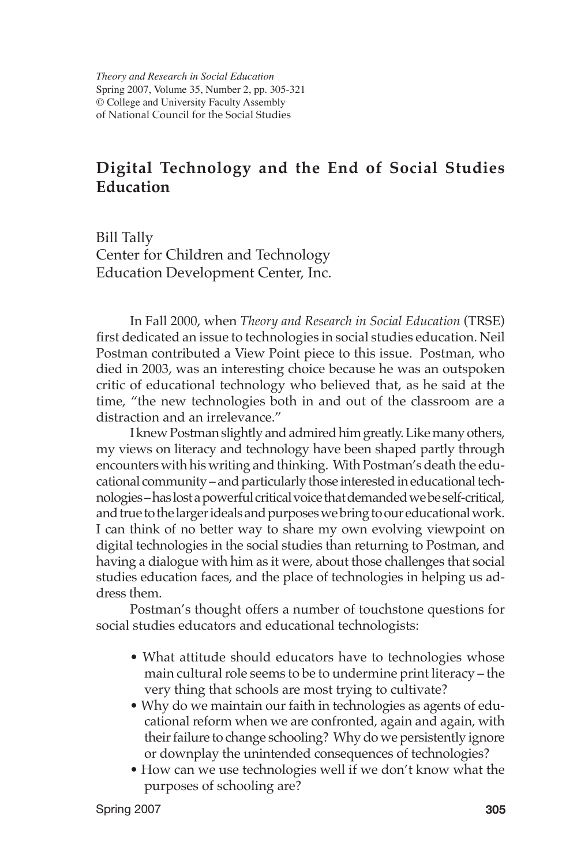*Theory and Research in Social Education* Spring 2007, Volume 35, Number 2, pp. 305-321 © College and University Faculty Assembly of National Council for the Social Studies

# **Digital Technology and the End of Social Studies Education**

Bill Tally Center for Children and Technology Education Development Center, Inc.

In Fall 2000, when *Theory and Research in Social Education* (TRSE) first dedicated an issue to technologies in social studies education. Neil Postman contributed a View Point piece to this issue. Postman, who died in 2003, was an interesting choice because he was an outspoken critic of educational technology who believed that, as he said at the time, "the new technologies both in and out of the classroom are a distraction and an irrelevance."

I knew Postman slightly and admired him greatly. Like many others, my views on literacy and technology have been shaped partly through encounters with his writing and thinking. With Postman's death the educational community – and particularly those interested in educational technologies – has lost a powerful critical voice that demanded we be self-critical, and true to the larger ideals and purposes we bring to our educational work. I can think of no better way to share my own evolving viewpoint on digital technologies in the social studies than returning to Postman, and having a dialogue with him as it were, about those challenges that social studies education faces, and the place of technologies in helping us address them.

Postman's thought offers a number of touchstone questions for social studies educators and educational technologists:

- What attitude should educators have to technologies whose main cultural role seems to be to undermine print literacy – the very thing that schools are most trying to cultivate?
- Why do we maintain our faith in technologies as agents of educational reform when we are confronted, again and again, with their failure to change schooling? Why do we persistently ignore or downplay the unintended consequences of technologies?
- How can we use technologies well if we don't know what the purposes of schooling are?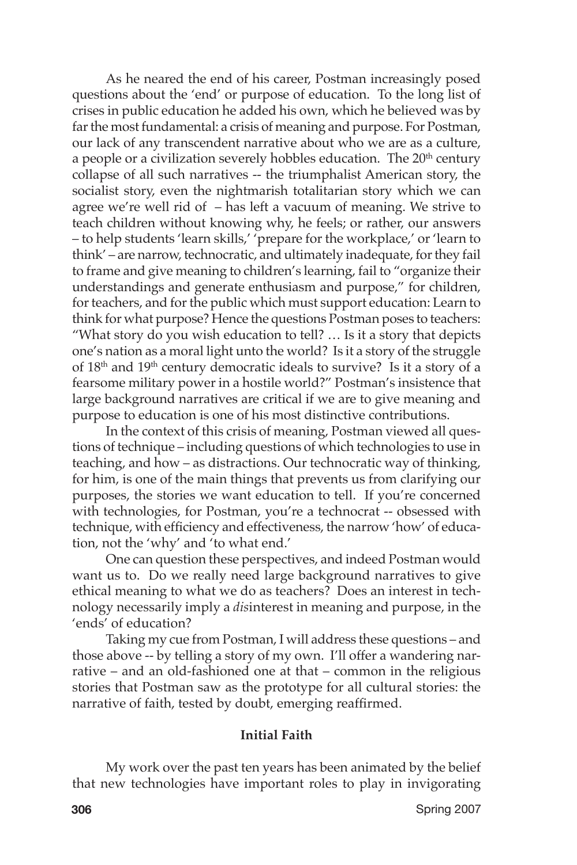As he neared the end of his career, Postman increasingly posed questions about the 'end' or purpose of education. To the long list of crises in public education he added his own, which he believed was by far the most fundamental: a crisis of meaning and purpose. For Postman, our lack of any transcendent narrative about who we are as a culture, a people or a civilization severely hobbles education. The  $20<sup>th</sup>$  century collapse of all such narratives -- the triumphalist American story, the socialist story, even the nightmarish totalitarian story which we can agree we're well rid of – has left a vacuum of meaning. We strive to teach children without knowing why, he feels; or rather, our answers – to help students 'learn skills,' 'prepare for the workplace,' or 'learn to think' – are narrow, technocratic, and ultimately inadequate, for they fail to frame and give meaning to children's learning, fail to "organize their understandings and generate enthusiasm and purpose," for children, for teachers, and for the public which must support education: Learn to think for what purpose? Hence the questions Postman poses to teachers: "What story do you wish education to tell? … Is it a story that depicts one's nation as a moral light unto the world? Is it a story of the struggle of  $18<sup>th</sup>$  and  $19<sup>th</sup>$  century democratic ideals to survive? Is it a story of a fearsome military power in a hostile world?" Postman's insistence that large background narratives are critical if we are to give meaning and purpose to education is one of his most distinctive contributions.

In the context of this crisis of meaning, Postman viewed all questions of technique – including questions of which technologies to use in teaching, and how – as distractions. Our technocratic way of thinking, for him, is one of the main things that prevents us from clarifying our purposes, the stories we want education to tell. If you're concerned with technologies, for Postman, you're a technocrat -- obsessed with technique, with efficiency and effectiveness, the narrow 'how' of education, not the 'why' and 'to what end.'

One can question these perspectives, and indeed Postman would want us to. Do we really need large background narratives to give ethical meaning to what we do as teachers? Does an interest in technology necessarily imply a *dis*interest in meaning and purpose, in the 'ends' of education?

Taking my cue from Postman, I will address these questions – and those above -- by telling a story of my own. I'll offer a wandering narrative – and an old-fashioned one at that – common in the religious stories that Postman saw as the prototype for all cultural stories: the narrative of faith, tested by doubt, emerging reaffirmed.

### **Initial Faith**

My work over the past ten years has been animated by the belief that new technologies have important roles to play in invigorating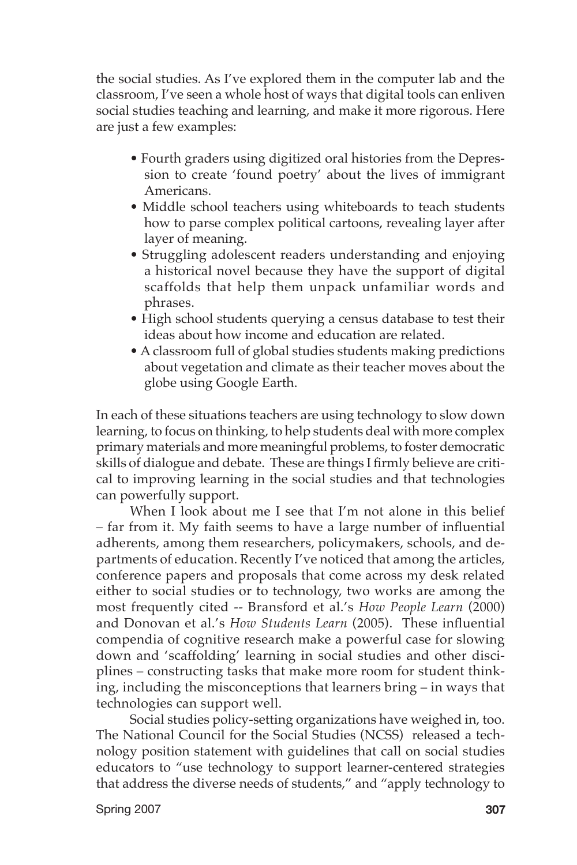the social studies. As I've explored them in the computer lab and the classroom, I've seen a whole host of ways that digital tools can enliven social studies teaching and learning, and make it more rigorous. Here are just a few examples:

- Fourth graders using digitized oral histories from the Depression to create 'found poetry' about the lives of immigrant Americans.
- Middle school teachers using whiteboards to teach students how to parse complex political cartoons, revealing layer after layer of meaning.
- Struggling adolescent readers understanding and enjoying a historical novel because they have the support of digital scaffolds that help them unpack unfamiliar words and phrases.
- High school students querying a census database to test their ideas about how income and education are related.
- A classroom full of global studies students making predictions about vegetation and climate as their teacher moves about the globe using Google Earth.

In each of these situations teachers are using technology to slow down learning, to focus on thinking, to help students deal with more complex primary materials and more meaningful problems, to foster democratic skills of dialogue and debate. These are things I firmly believe are critical to improving learning in the social studies and that technologies can powerfully support.

When I look about me I see that I'm not alone in this belief – far from it. My faith seems to have a large number of influential adherents, among them researchers, policymakers, schools, and departments of education. Recently I've noticed that among the articles, conference papers and proposals that come across my desk related either to social studies or to technology, two works are among the most frequently cited -- Bransford et al.'s *How People Learn* (2000) and Donovan et al.'s *How Students Learn* (2005). These influential compendia of cognitive research make a powerful case for slowing down and 'scaffolding' learning in social studies and other disciplines – constructing tasks that make more room for student thinking, including the misconceptions that learners bring – in ways that technologies can support well.

Social studies policy-setting organizations have weighed in, too. The National Council for the Social Studies (NCSS) released a technology position statement with guidelines that call on social studies educators to "use technology to support learner-centered strategies that address the diverse needs of students," and "apply technology to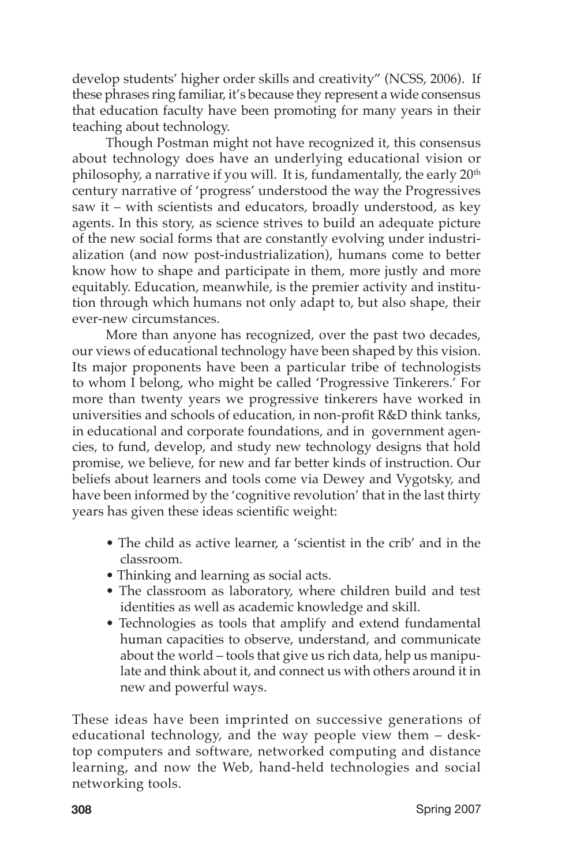develop students' higher order skills and creativity" (NCSS, 2006). If these phrases ring familiar, it's because they represent a wide consensus that education faculty have been promoting for many years in their teaching about technology.

Though Postman might not have recognized it, this consensus about technology does have an underlying educational vision or philosophy, a narrative if you will. It is, fundamentally, the early  $20<sup>th</sup>$ century narrative of 'progress' understood the way the Progressives saw it – with scientists and educators, broadly understood, as key agents. In this story, as science strives to build an adequate picture of the new social forms that are constantly evolving under industrialization (and now post-industrialization), humans come to better know how to shape and participate in them, more justly and more equitably. Education, meanwhile, is the premier activity and institution through which humans not only adapt to, but also shape, their ever-new circumstances.

More than anyone has recognized, over the past two decades, our views of educational technology have been shaped by this vision. Its major proponents have been a particular tribe of technologists to whom I belong, who might be called 'Progressive Tinkerers.' For more than twenty years we progressive tinkerers have worked in universities and schools of education, in non-profit R&D think tanks, in educational and corporate foundations, and in government agencies, to fund, develop, and study new technology designs that hold promise, we believe, for new and far better kinds of instruction. Our beliefs about learners and tools come via Dewey and Vygotsky, and have been informed by the 'cognitive revolution' that in the last thirty years has given these ideas scientific weight:

- The child as active learner, a 'scientist in the crib' and in the classroom.
- Thinking and learning as social acts.
- The classroom as laboratory, where children build and test identities as well as academic knowledge and skill.
- Technologies as tools that amplify and extend fundamental human capacities to observe, understand, and communicate about the world – tools that give us rich data, help us manipulate and think about it, and connect us with others around it in new and powerful ways.

These ideas have been imprinted on successive generations of educational technology, and the way people view them – desktop computers and software, networked computing and distance learning, and now the Web, hand-held technologies and social networking tools.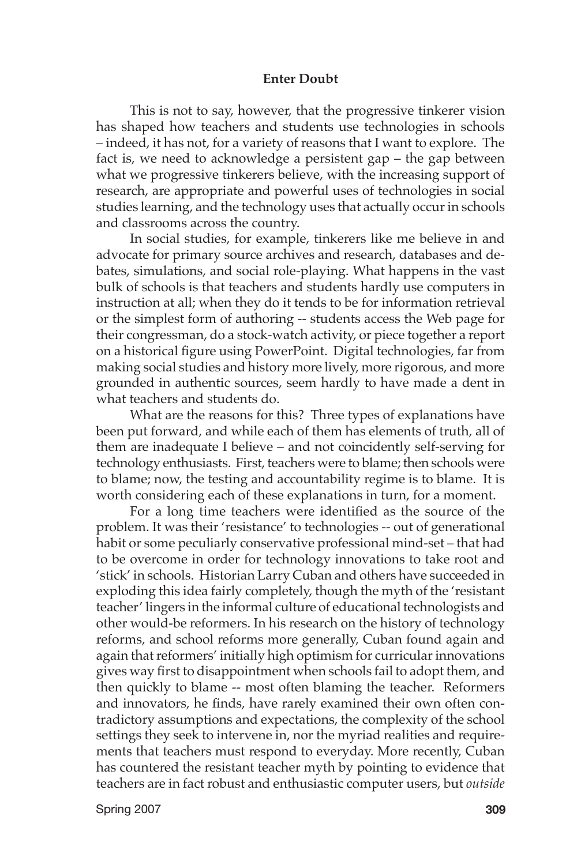#### **Enter Doubt**

This is not to say, however, that the progressive tinkerer vision has shaped how teachers and students use technologies in schools – indeed, it has not, for a variety of reasons that I want to explore. The fact is, we need to acknowledge a persistent gap – the gap between what we progressive tinkerers believe, with the increasing support of research, are appropriate and powerful uses of technologies in social studies learning, and the technology uses that actually occur in schools and classrooms across the country.

In social studies, for example, tinkerers like me believe in and advocate for primary source archives and research, databases and debates, simulations, and social role-playing. What happens in the vast bulk of schools is that teachers and students hardly use computers in instruction at all; when they do it tends to be for information retrieval or the simplest form of authoring -- students access the Web page for their congressman, do a stock-watch activity, or piece together a report on a historical figure using PowerPoint. Digital technologies, far from making social studies and history more lively, more rigorous, and more grounded in authentic sources, seem hardly to have made a dent in what teachers and students do.

What are the reasons for this? Three types of explanations have been put forward, and while each of them has elements of truth, all of them are inadequate I believe – and not coincidently self-serving for technology enthusiasts. First, teachers were to blame; then schools were to blame; now, the testing and accountability regime is to blame. It is worth considering each of these explanations in turn, for a moment.

For a long time teachers were identified as the source of the problem. It was their 'resistance' to technologies -- out of generational habit or some peculiarly conservative professional mind-set – that had to be overcome in order for technology innovations to take root and 'stick' in schools. Historian Larry Cuban and others have succeeded in exploding this idea fairly completely, though the myth of the 'resistant teacher' lingers in the informal culture of educational technologists and other would-be reformers. In his research on the history of technology reforms, and school reforms more generally, Cuban found again and again that reformers' initially high optimism for curricular innovations gives way first to disappointment when schools fail to adopt them, and then quickly to blame -- most often blaming the teacher. Reformers and innovators, he finds, have rarely examined their own often contradictory assumptions and expectations, the complexity of the school settings they seek to intervene in, nor the myriad realities and requirements that teachers must respond to everyday. More recently, Cuban has countered the resistant teacher myth by pointing to evidence that teachers are in fact robust and enthusiastic computer users, but *outside*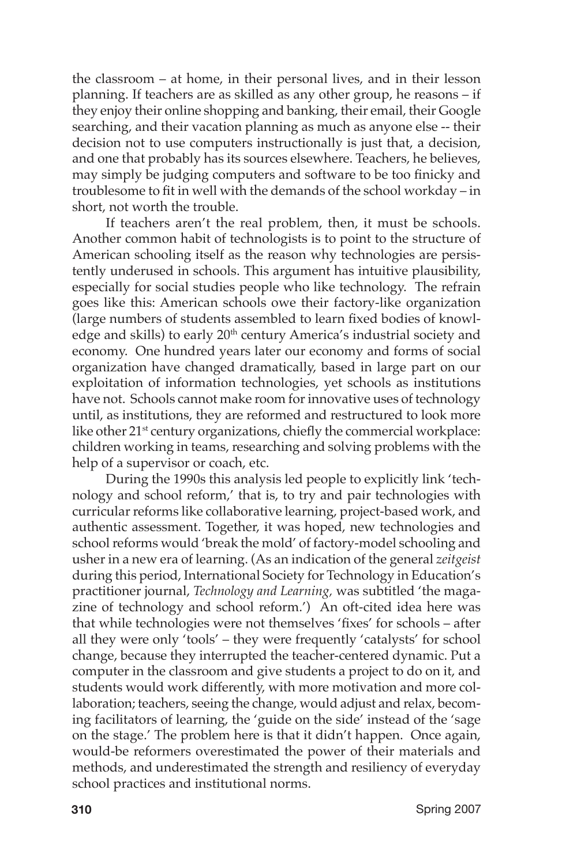the classroom – at home, in their personal lives, and in their lesson planning. If teachers are as skilled as any other group, he reasons – if they enjoy their online shopping and banking, their email, their Google searching, and their vacation planning as much as anyone else -- their decision not to use computers instructionally is just that, a decision, and one that probably has its sources elsewhere. Teachers, he believes, may simply be judging computers and software to be too finicky and troublesome to fit in well with the demands of the school workday – in short, not worth the trouble.

If teachers aren't the real problem, then, it must be schools. Another common habit of technologists is to point to the structure of American schooling itself as the reason why technologies are persistently underused in schools. This argument has intuitive plausibility, especially for social studies people who like technology. The refrain goes like this: American schools owe their factory-like organization (large numbers of students assembled to learn fixed bodies of knowledge and skills) to early 20<sup>th</sup> century America's industrial society and economy. One hundred years later our economy and forms of social organization have changed dramatically, based in large part on our exploitation of information technologies, yet schools as institutions have not. Schools cannot make room for innovative uses of technology until, as institutions, they are reformed and restructured to look more like other 21<sup>st</sup> century organizations, chiefly the commercial workplace: children working in teams, researching and solving problems with the help of a supervisor or coach, etc.

During the 1990s this analysis led people to explicitly link 'technology and school reform,' that is, to try and pair technologies with curricular reforms like collaborative learning, project-based work, and authentic assessment. Together, it was hoped, new technologies and school reforms would 'break the mold' of factory-model schooling and usher in a new era of learning. (As an indication of the general *zeitgeist*  during this period, International Society for Technology in Education's practitioner journal, *Technology and Learning,* was subtitled 'the magazine of technology and school reform.') An oft-cited idea here was that while technologies were not themselves 'fixes' for schools – after all they were only 'tools' – they were frequently 'catalysts' for school change, because they interrupted the teacher-centered dynamic. Put a computer in the classroom and give students a project to do on it, and students would work differently, with more motivation and more collaboration; teachers, seeing the change, would adjust and relax, becoming facilitators of learning, the 'guide on the side' instead of the 'sage on the stage.' The problem here is that it didn't happen. Once again, would-be reformers overestimated the power of their materials and methods, and underestimated the strength and resiliency of everyday school practices and institutional norms.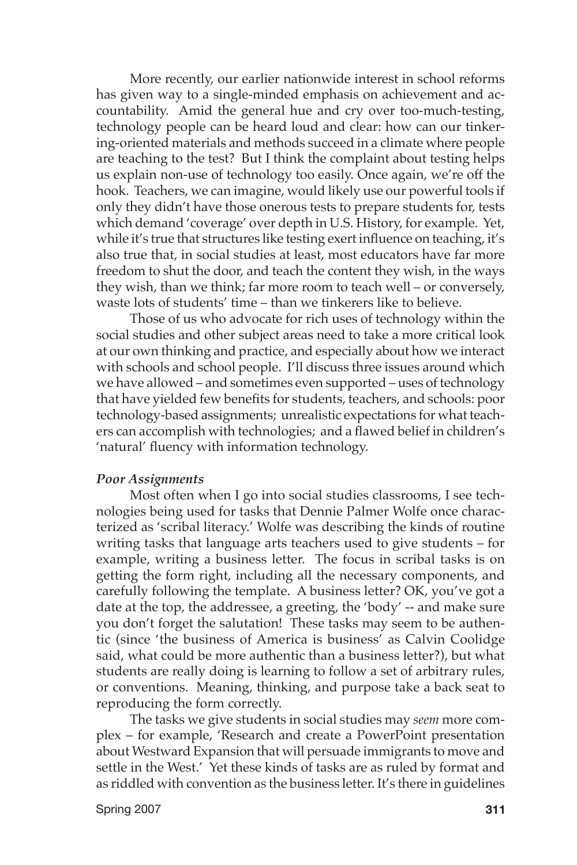More recently, our earlier nationwide interest in school reforms has given way to a single-minded emphasis on achievement and accountability. Amid the general hue and cry over too-much-testing, technology people can be heard loud and clear: how can our tinkering-oriented materials and methods succeed in a climate where people are teaching to the test? But I think the complaint about testing helps us explain non-use of technology too easily. Once again, we're off the hook. Teachers, we can imagine, would likely use our powerful tools if only they didn't have those onerous tests to prepare students for, tests which demand 'coverage' over depth in U.S. History, for example. Yet, while it's true that structures like testing exert influence on teaching, it's also true that, in social studies at least, most educators have far more freedom to shut the door, and teach the content they wish, in the ways they wish, than we think; far more room to teach well – or conversely, waste lots of students' time – than we tinkerers like to believe.

Those of us who advocate for rich uses of technology within the social studies and other subject areas need to take a more critical look at our own thinking and practice, and especially about how we interact with schools and school people. I'll discuss three issues around which we have allowed – and sometimes even supported – uses of technology that have yielded few benefits for students, teachers, and schools: poor technology-based assignments; unrealistic expectations for what teachers can accomplish with technologies; and a flawed belief in children's 'natural' fluency with information technology.

### *Poor Assignments*

Most often when I go into social studies classrooms, I see technologies being used for tasks that Dennie Palmer Wolfe once characterized as 'scribal literacy.' Wolfe was describing the kinds of routine writing tasks that language arts teachers used to give students – for example, writing a business letter. The focus in scribal tasks is on getting the form right, including all the necessary components, and carefully following the template. A business letter? OK, you've got a date at the top, the addressee, a greeting, the 'body' -- and make sure you don't forget the salutation! These tasks may seem to be authentic (since 'the business of America is business' as Calvin Coolidge said, what could be more authentic than a business letter?), but what students are really doing is learning to follow a set of arbitrary rules, or conventions. Meaning, thinking, and purpose take a back seat to reproducing the form correctly.

The tasks we give students in social studies may *seem* more complex – for example, 'Research and create a PowerPoint presentation about Westward Expansion that will persuade immigrants to move and settle in the West.' Yet these kinds of tasks are as ruled by format and as riddled with convention as the business letter. It's there in guidelines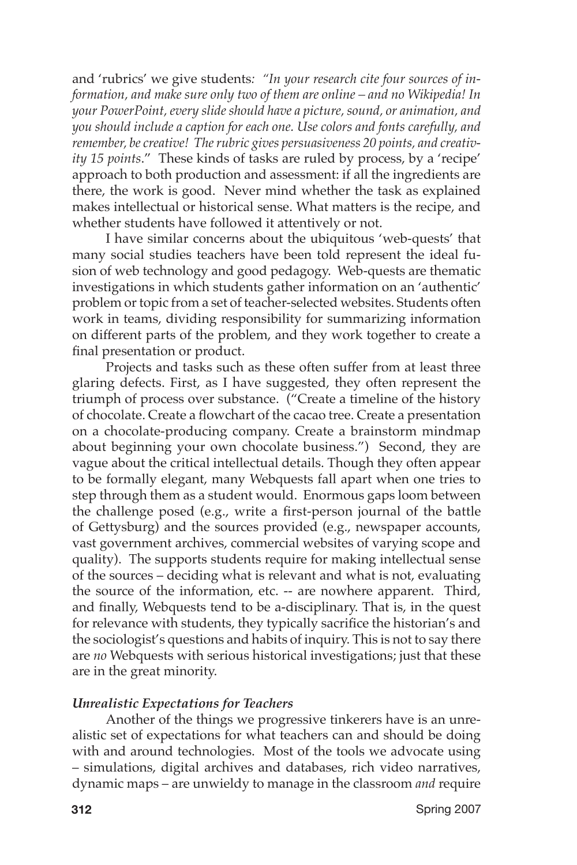and 'rubrics' we give students*: "In your research cite four sources of information, and make sure only two of them are online – and no Wikipedia! In your PowerPoint, every slide should have a picture, sound, or animation, and you should include a caption for each one. Use colors and fonts carefully, and remember, be creative! The rubric gives persuasiveness 20 points, and creativity 15 points*." These kinds of tasks are ruled by process, by a 'recipe' approach to both production and assessment: if all the ingredients are there, the work is good. Never mind whether the task as explained makes intellectual or historical sense. What matters is the recipe, and whether students have followed it attentively or not.

I have similar concerns about the ubiquitous 'web-quests' that many social studies teachers have been told represent the ideal fusion of web technology and good pedagogy. Web-quests are thematic investigations in which students gather information on an 'authentic' problem or topic from a set of teacher-selected websites. Students often work in teams, dividing responsibility for summarizing information on different parts of the problem, and they work together to create a final presentation or product.

Projects and tasks such as these often suffer from at least three glaring defects. First, as I have suggested, they often represent the triumph of process over substance. ("Create a timeline of the history of chocolate. Create a flowchart of the cacao tree. Create a presentation on a chocolate-producing company. Create a brainstorm mindmap about beginning your own chocolate business.") Second, they are vague about the critical intellectual details. Though they often appear to be formally elegant, many Webquests fall apart when one tries to step through them as a student would. Enormous gaps loom between the challenge posed (e.g., write a first-person journal of the battle of Gettysburg) and the sources provided (e.g., newspaper accounts, vast government archives, commercial websites of varying scope and quality). The supports students require for making intellectual sense of the sources – deciding what is relevant and what is not, evaluating the source of the information, etc. -- are nowhere apparent. Third, and finally, Webquests tend to be a-disciplinary. That is, in the quest for relevance with students, they typically sacrifice the historian's and the sociologist's questions and habits of inquiry. This is not to say there are *no* Webquests with serious historical investigations; just that these are in the great minority.

## *Unrealistic Expectations for Teachers*

Another of the things we progressive tinkerers have is an unrealistic set of expectations for what teachers can and should be doing with and around technologies. Most of the tools we advocate using – simulations, digital archives and databases, rich video narratives, dynamic maps – are unwieldy to manage in the classroom *and* require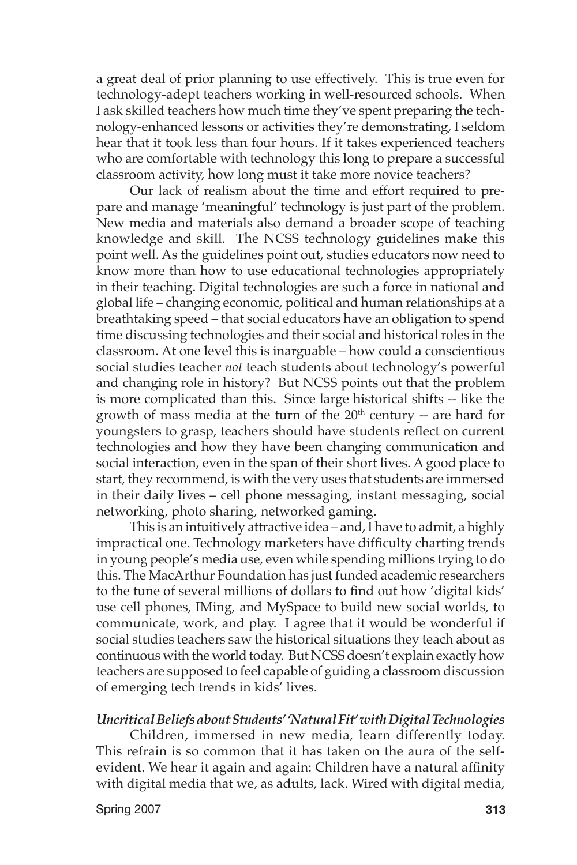a great deal of prior planning to use effectively. This is true even for technology-adept teachers working in well-resourced schools. When I ask skilled teachers how much time they've spent preparing the technology-enhanced lessons or activities they're demonstrating, I seldom hear that it took less than four hours. If it takes experienced teachers who are comfortable with technology this long to prepare a successful classroom activity, how long must it take more novice teachers?

Our lack of realism about the time and effort required to prepare and manage 'meaningful' technology is just part of the problem. New media and materials also demand a broader scope of teaching knowledge and skill. The NCSS technology guidelines make this point well. As the guidelines point out, studies educators now need to know more than how to use educational technologies appropriately in their teaching. Digital technologies are such a force in national and global life – changing economic, political and human relationships at a breathtaking speed – that social educators have an obligation to spend time discussing technologies and their social and historical roles in the classroom. At one level this is inarguable – how could a conscientious social studies teacher *not* teach students about technology's powerful and changing role in history? But NCSS points out that the problem is more complicated than this. Since large historical shifts -- like the growth of mass media at the turn of the  $20<sup>th</sup>$  century -- are hard for youngsters to grasp, teachers should have students reflect on current technologies and how they have been changing communication and social interaction, even in the span of their short lives. A good place to start, they recommend, is with the very uses that students are immersed in their daily lives – cell phone messaging, instant messaging, social networking, photo sharing, networked gaming.

This is an intuitively attractive idea – and, I have to admit, a highly impractical one. Technology marketers have difficulty charting trends in young people's media use, even while spending millions trying to do this. The MacArthur Foundation has just funded academic researchers to the tune of several millions of dollars to find out how 'digital kids' use cell phones, IMing, and MySpace to build new social worlds, to communicate, work, and play. I agree that it would be wonderful if social studies teachers saw the historical situations they teach about as continuous with the world today. But NCSS doesn't explain exactly how teachers are supposed to feel capable of guiding a classroom discussion of emerging tech trends in kids' lives.

### *Uncritical Beliefs about Students' 'Natural Fit' with Digital Technologies*

Children, immersed in new media, learn differently today. This refrain is so common that it has taken on the aura of the selfevident. We hear it again and again: Children have a natural affinity with digital media that we, as adults, lack. Wired with digital media,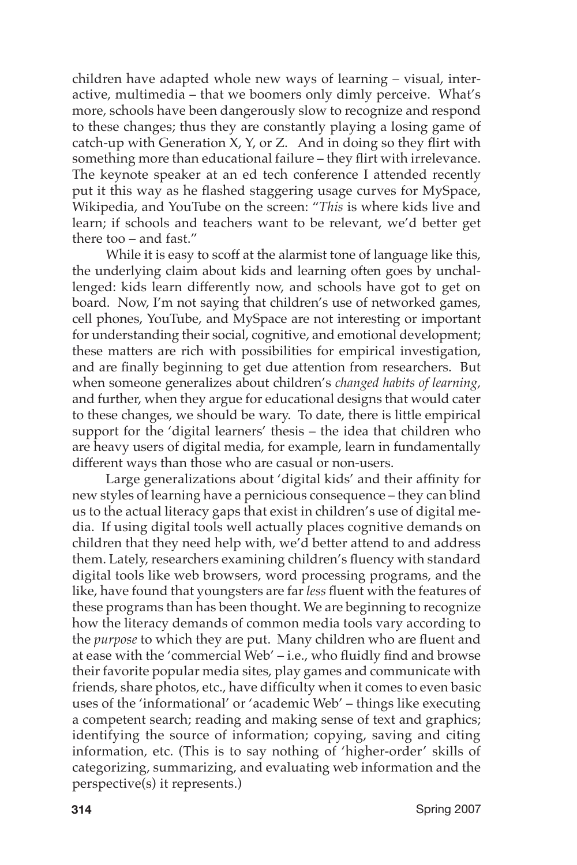children have adapted whole new ways of learning – visual, interactive, multimedia – that we boomers only dimly perceive. What's more, schools have been dangerously slow to recognize and respond to these changes; thus they are constantly playing a losing game of catch-up with Generation X, Y, or Z. And in doing so they flirt with something more than educational failure – they flirt with irrelevance. The keynote speaker at an ed tech conference I attended recently put it this way as he flashed staggering usage curves for MySpace, Wikipedia, and YouTube on the screen: "*This* is where kids live and learn; if schools and teachers want to be relevant, we'd better get there too – and fast."

While it is easy to scoff at the alarmist tone of language like this, the underlying claim about kids and learning often goes by unchallenged: kids learn differently now, and schools have got to get on board. Now, I'm not saying that children's use of networked games, cell phones, YouTube, and MySpace are not interesting or important for understanding their social, cognitive, and emotional development; these matters are rich with possibilities for empirical investigation, and are finally beginning to get due attention from researchers. But when someone generalizes about children's *changed habits of learning,* and further, when they argue for educational designs that would cater to these changes, we should be wary. To date, there is little empirical support for the 'digital learners' thesis – the idea that children who are heavy users of digital media, for example, learn in fundamentally different ways than those who are casual or non-users.

Large generalizations about 'digital kids' and their affinity for new styles of learning have a pernicious consequence – they can blind us to the actual literacy gaps that exist in children's use of digital media. If using digital tools well actually places cognitive demands on children that they need help with, we'd better attend to and address them. Lately, researchers examining children's fluency with standard digital tools like web browsers, word processing programs, and the like, have found that youngsters are far *less* fluent with the features of these programs than has been thought. We are beginning to recognize how the literacy demands of common media tools vary according to the *purpose* to which they are put. Many children who are fluent and at ease with the 'commercial Web' – i.e., who fluidly find and browse their favorite popular media sites, play games and communicate with friends, share photos, etc., have difficulty when it comes to even basic uses of the 'informational' or 'academic Web' – things like executing a competent search; reading and making sense of text and graphics; identifying the source of information; copying, saving and citing information, etc. (This is to say nothing of 'higher-order' skills of categorizing, summarizing, and evaluating web information and the perspective(s) it represents.)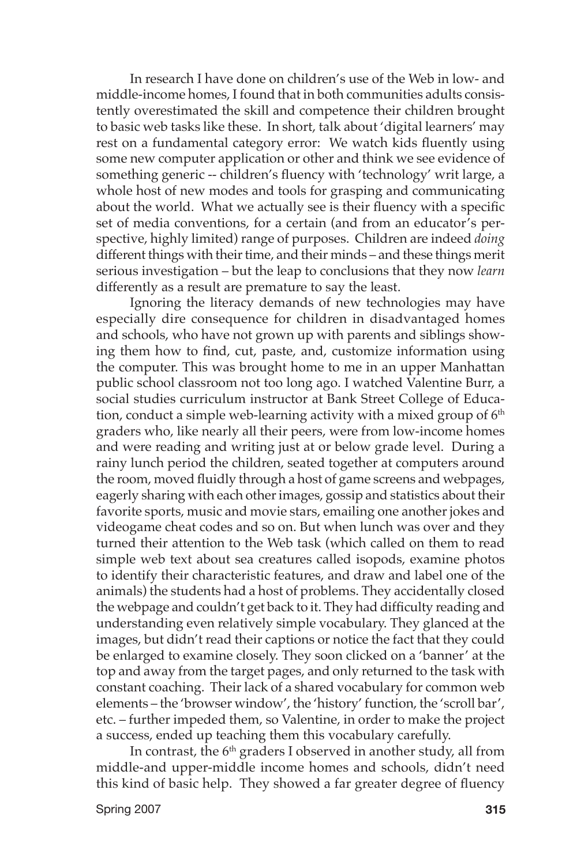In research I have done on children's use of the Web in low- and middle-income homes, I found that in both communities adults consistently overestimated the skill and competence their children brought to basic web tasks like these. In short, talk about 'digital learners' may rest on a fundamental category error: We watch kids fluently using some new computer application or other and think we see evidence of something generic -- children's fluency with 'technology' writ large, a whole host of new modes and tools for grasping and communicating about the world. What we actually see is their fluency with a specific set of media conventions, for a certain (and from an educator's perspective, highly limited) range of purposes. Children are indeed *doing*  different things with their time, and their minds – and these things merit serious investigation – but the leap to conclusions that they now *learn*  differently as a result are premature to say the least.

Ignoring the literacy demands of new technologies may have especially dire consequence for children in disadvantaged homes and schools, who have not grown up with parents and siblings showing them how to find, cut, paste, and, customize information using the computer. This was brought home to me in an upper Manhattan public school classroom not too long ago. I watched Valentine Burr, a social studies curriculum instructor at Bank Street College of Education, conduct a simple web-learning activity with a mixed group of  $6<sup>th</sup>$ graders who, like nearly all their peers, were from low-income homes and were reading and writing just at or below grade level. During a rainy lunch period the children, seated together at computers around the room, moved fluidly through a host of game screens and webpages, eagerly sharing with each other images, gossip and statistics about their favorite sports, music and movie stars, emailing one another jokes and videogame cheat codes and so on. But when lunch was over and they turned their attention to the Web task (which called on them to read simple web text about sea creatures called isopods, examine photos to identify their characteristic features, and draw and label one of the animals) the students had a host of problems. They accidentally closed the webpage and couldn't get back to it. They had difficulty reading and understanding even relatively simple vocabulary. They glanced at the images, but didn't read their captions or notice the fact that they could be enlarged to examine closely. They soon clicked on a 'banner' at the top and away from the target pages, and only returned to the task with constant coaching. Their lack of a shared vocabulary for common web elements – the 'browser window', the 'history' function, the 'scroll bar', etc. – further impeded them, so Valentine, in order to make the project a success, ended up teaching them this vocabulary carefully.

In contrast, the  $6<sup>th</sup>$  graders I observed in another study, all from middle-and upper-middle income homes and schools, didn't need this kind of basic help. They showed a far greater degree of fluency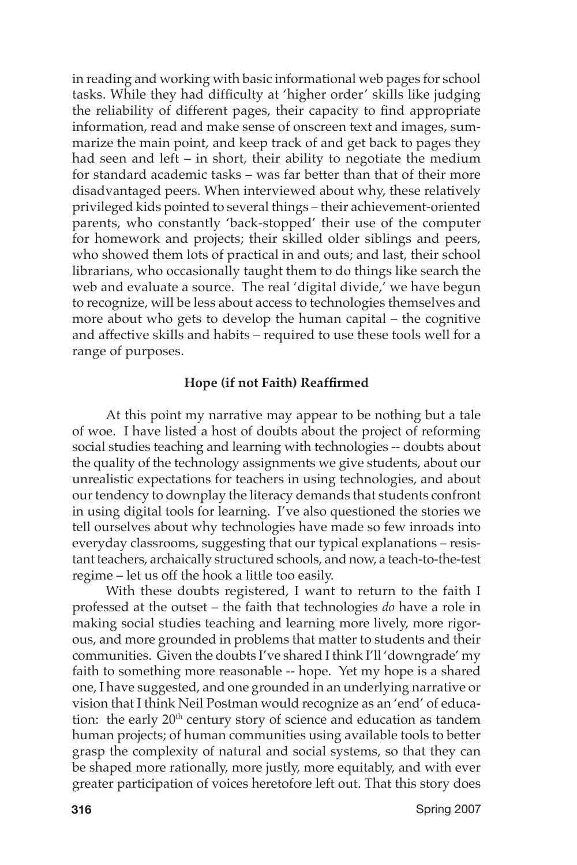in reading and working with basic informational web pages for school tasks. While they had difficulty at 'higher order' skills like judging the reliability of different pages, their capacity to find appropriate information, read and make sense of onscreen text and images, summarize the main point, and keep track of and get back to pages they had seen and left – in short, their ability to negotiate the medium for standard academic tasks – was far better than that of their more disadvantaged peers. When interviewed about why, these relatively privileged kids pointed to several things – their achievement-oriented parents, who constantly 'back-stopped' their use of the computer for homework and projects; their skilled older siblings and peers, who showed them lots of practical in and outs; and last, their school librarians, who occasionally taught them to do things like search the web and evaluate a source. The real 'digital divide,' we have begun to recognize, will be less about access to technologies themselves and more about who gets to develop the human capital – the cognitive and affective skills and habits – required to use these tools well for a range of purposes.

### **Hope (if not Faith) Reaffirmed**

At this point my narrative may appear to be nothing but a tale of woe. I have listed a host of doubts about the project of reforming social studies teaching and learning with technologies -- doubts about the quality of the technology assignments we give students, about our unrealistic expectations for teachers in using technologies, and about our tendency to downplay the literacy demands that students confront in using digital tools for learning. I've also questioned the stories we tell ourselves about why technologies have made so few inroads into everyday classrooms, suggesting that our typical explanations – resistant teachers, archaically structured schools, and now, a teach-to-the-test regime – let us off the hook a little too easily.

With these doubts registered, I want to return to the faith I professed at the outset – the faith that technologies *do* have a role in making social studies teaching and learning more lively, more rigorous, and more grounded in problems that matter to students and their communities. Given the doubts I've shared I think I'll 'downgrade' my faith to something more reasonable -- hope. Yet my hope is a shared one, I have suggested, and one grounded in an underlying narrative or vision that I think Neil Postman would recognize as an 'end' of education: the early 20<sup>th</sup> century story of science and education as tandem human projects; of human communities using available tools to better grasp the complexity of natural and social systems, so that they can be shaped more rationally, more justly, more equitably, and with ever greater participation of voices heretofore left out. That this story does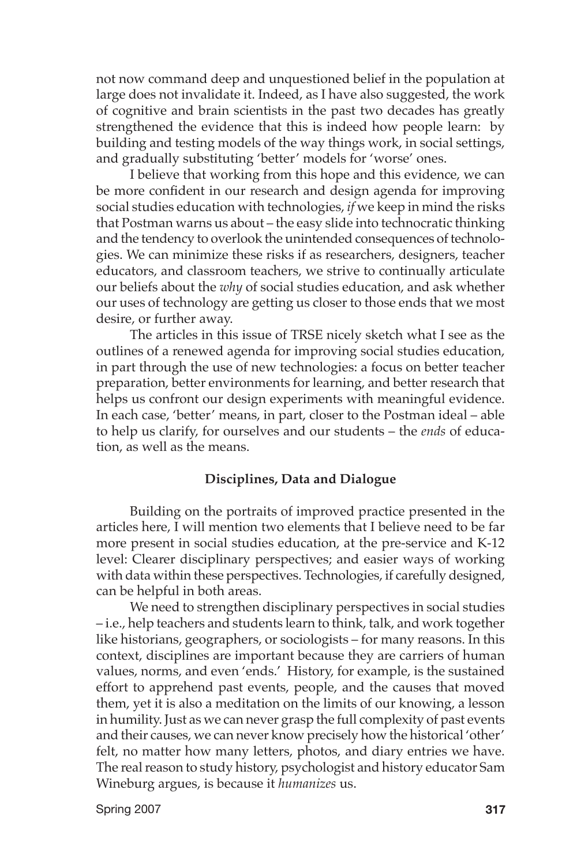not now command deep and unquestioned belief in the population at large does not invalidate it. Indeed, as I have also suggested, the work of cognitive and brain scientists in the past two decades has greatly strengthened the evidence that this is indeed how people learn: by building and testing models of the way things work, in social settings, and gradually substituting 'better' models for 'worse' ones.

I believe that working from this hope and this evidence, we can be more confident in our research and design agenda for improving social studies education with technologies, *if* we keep in mind the risks that Postman warns us about – the easy slide into technocratic thinking and the tendency to overlook the unintended consequences of technologies. We can minimize these risks if as researchers, designers, teacher educators, and classroom teachers, we strive to continually articulate our beliefs about the *why* of social studies education, and ask whether our uses of technology are getting us closer to those ends that we most desire, or further away.

The articles in this issue of TRSE nicely sketch what I see as the outlines of a renewed agenda for improving social studies education, in part through the use of new technologies: a focus on better teacher preparation, better environments for learning, and better research that helps us confront our design experiments with meaningful evidence. In each case, 'better' means, in part, closer to the Postman ideal – able to help us clarify, for ourselves and our students – the *ends* of education, as well as the means.

### **Disciplines, Data and Dialogue**

Building on the portraits of improved practice presented in the articles here, I will mention two elements that I believe need to be far more present in social studies education, at the pre-service and K-12 level: Clearer disciplinary perspectives; and easier ways of working with data within these perspectives. Technologies, if carefully designed, can be helpful in both areas.

We need to strengthen disciplinary perspectives in social studies – i.e., help teachers and students learn to think, talk, and work together like historians, geographers, or sociologists – for many reasons. In this context, disciplines are important because they are carriers of human values, norms, and even 'ends.' History, for example, is the sustained effort to apprehend past events, people, and the causes that moved them, yet it is also a meditation on the limits of our knowing, a lesson in humility. Just as we can never grasp the full complexity of past events and their causes, we can never know precisely how the historical 'other' felt, no matter how many letters, photos, and diary entries we have. The real reason to study history, psychologist and history educator Sam Wineburg argues, is because it *humanizes* us.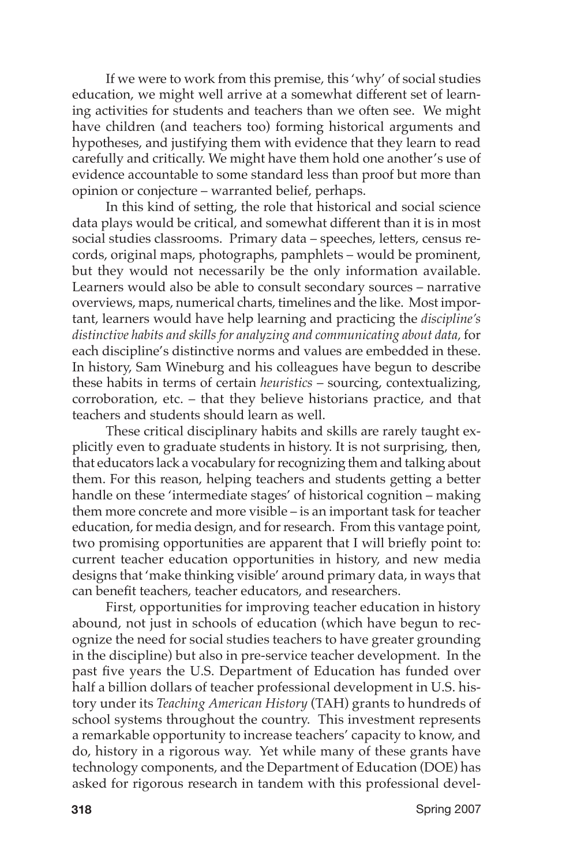If we were to work from this premise, this 'why' of social studies education, we might well arrive at a somewhat different set of learning activities for students and teachers than we often see. We might have children (and teachers too) forming historical arguments and hypotheses, and justifying them with evidence that they learn to read carefully and critically. We might have them hold one another's use of evidence accountable to some standard less than proof but more than opinion or conjecture – warranted belief, perhaps.

In this kind of setting, the role that historical and social science data plays would be critical, and somewhat different than it is in most social studies classrooms. Primary data – speeches, letters, census records, original maps, photographs, pamphlets – would be prominent, but they would not necessarily be the only information available. Learners would also be able to consult secondary sources – narrative overviews, maps, numerical charts, timelines and the like. Most important, learners would have help learning and practicing the *discipline's distinctive habits and skills for analyzing and communicating about data,* for each discipline's distinctive norms and values are embedded in these. In history, Sam Wineburg and his colleagues have begun to describe these habits in terms of certain *heuristics* – sourcing, contextualizing, corroboration, etc. – that they believe historians practice, and that teachers and students should learn as well.

These critical disciplinary habits and skills are rarely taught explicitly even to graduate students in history. It is not surprising, then, that educators lack a vocabulary for recognizing them and talking about them. For this reason, helping teachers and students getting a better handle on these 'intermediate stages' of historical cognition – making them more concrete and more visible – is an important task for teacher education, for media design, and for research. From this vantage point, two promising opportunities are apparent that I will briefly point to: current teacher education opportunities in history, and new media designs that 'make thinking visible' around primary data, in ways that can benefit teachers, teacher educators, and researchers.

First, opportunities for improving teacher education in history abound, not just in schools of education (which have begun to recognize the need for social studies teachers to have greater grounding in the discipline) but also in pre-service teacher development. In the past five years the U.S. Department of Education has funded over half a billion dollars of teacher professional development in U.S. history under its *Teaching American History* (TAH) grants to hundreds of school systems throughout the country. This investment represents a remarkable opportunity to increase teachers' capacity to know, and do, history in a rigorous way. Yet while many of these grants have technology components, and the Department of Education (DOE) has asked for rigorous research in tandem with this professional devel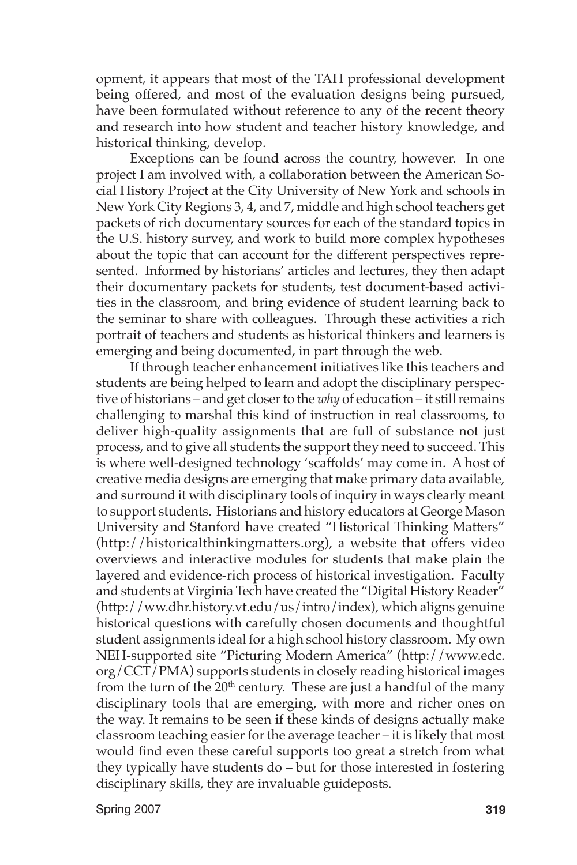opment, it appears that most of the TAH professional development being offered, and most of the evaluation designs being pursued, have been formulated without reference to any of the recent theory and research into how student and teacher history knowledge, and historical thinking, develop.

Exceptions can be found across the country, however. In one project I am involved with, a collaboration between the American Social History Project at the City University of New York and schools in New York City Regions 3, 4, and 7, middle and high school teachers get packets of rich documentary sources for each of the standard topics in the U.S. history survey, and work to build more complex hypotheses about the topic that can account for the different perspectives represented. Informed by historians' articles and lectures, they then adapt their documentary packets for students, test document-based activities in the classroom, and bring evidence of student learning back to the seminar to share with colleagues. Through these activities a rich portrait of teachers and students as historical thinkers and learners is emerging and being documented, in part through the web.

If through teacher enhancement initiatives like this teachers and students are being helped to learn and adopt the disciplinary perspective of historians – and get closer to the *why* of education – it still remains challenging to marshal this kind of instruction in real classrooms, to deliver high-quality assignments that are full of substance not just process, and to give all students the support they need to succeed. This is where well-designed technology 'scaffolds' may come in. A host of creative media designs are emerging that make primary data available, and surround it with disciplinary tools of inquiry in ways clearly meant to support students. Historians and history educators at George Mason University and Stanford have created "Historical Thinking Matters" (http://historicalthinkingmatters.org), a website that offers video overviews and interactive modules for students that make plain the layered and evidence-rich process of historical investigation. Faculty and students at Virginia Tech have created the "Digital History Reader" (http://ww.dhr.history.vt.edu/us/intro/index), which aligns genuine historical questions with carefully chosen documents and thoughtful student assignments ideal for a high school history classroom. My own NEH-supported site "Picturing Modern America" (http://www.edc. org/CCT/PMA) supports students in closely reading historical images from the turn of the  $20<sup>th</sup>$  century. These are just a handful of the many disciplinary tools that are emerging, with more and richer ones on the way. It remains to be seen if these kinds of designs actually make classroom teaching easier for the average teacher – it is likely that most would find even these careful supports too great a stretch from what they typically have students do – but for those interested in fostering disciplinary skills, they are invaluable guideposts.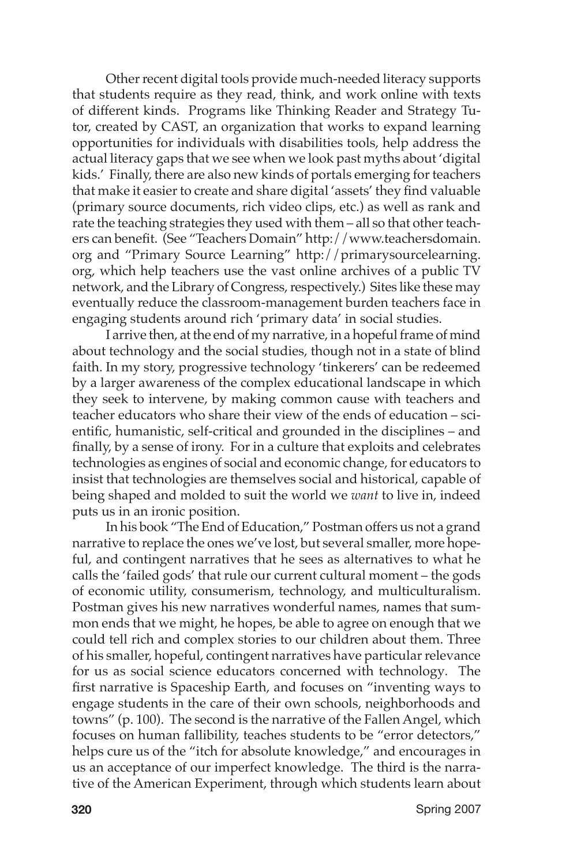Other recent digital tools provide much-needed literacy supports that students require as they read, think, and work online with texts of different kinds. Programs like Thinking Reader and Strategy Tutor, created by CAST, an organization that works to expand learning opportunities for individuals with disabilities tools, help address the actual literacy gaps that we see when we look past myths about 'digital kids.' Finally, there are also new kinds of portals emerging for teachers that make it easier to create and share digital 'assets' they find valuable (primary source documents, rich video clips, etc.) as well as rank and rate the teaching strategies they used with them – all so that other teachers can benefit. (See "Teachers Domain" http://www.teachersdomain. org and "Primary Source Learning" http://primarysourcelearning. org, which help teachers use the vast online archives of a public TV network, and the Library of Congress, respectively.) Sites like these may eventually reduce the classroom-management burden teachers face in engaging students around rich 'primary data' in social studies.

I arrive then, at the end of my narrative, in a hopeful frame of mind about technology and the social studies, though not in a state of blind faith. In my story, progressive technology 'tinkerers' can be redeemed by a larger awareness of the complex educational landscape in which they seek to intervene, by making common cause with teachers and teacher educators who share their view of the ends of education – scientific, humanistic, self-critical and grounded in the disciplines – and finally, by a sense of irony. For in a culture that exploits and celebrates technologies as engines of social and economic change, for educators to insist that technologies are themselves social and historical, capable of being shaped and molded to suit the world we *want* to live in, indeed puts us in an ironic position.

In his book "The End of Education," Postman offers us not a grand narrative to replace the ones we've lost, but several smaller, more hopeful, and contingent narratives that he sees as alternatives to what he calls the 'failed gods' that rule our current cultural moment – the gods of economic utility, consumerism, technology, and multiculturalism. Postman gives his new narratives wonderful names, names that summon ends that we might, he hopes, be able to agree on enough that we could tell rich and complex stories to our children about them. Three of his smaller, hopeful, contingent narratives have particular relevance for us as social science educators concerned with technology*.* The first narrative is Spaceship Earth, and focuses on "inventing ways to engage students in the care of their own schools, neighborhoods and towns" (p. 100). The second is the narrative of the Fallen Angel, which focuses on human fallibility, teaches students to be "error detectors," helps cure us of the "itch for absolute knowledge," and encourages in us an acceptance of our imperfect knowledge. The third is the narrative of the American Experiment, through which students learn about